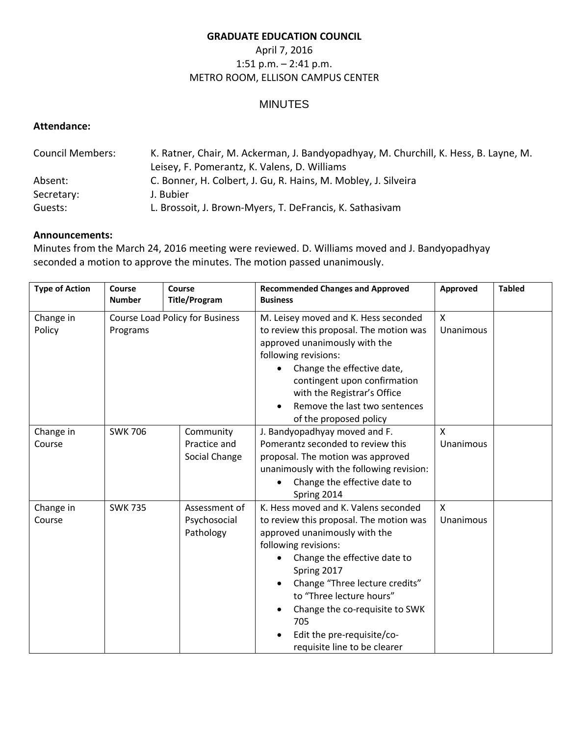### **GRADUATE EDUCATION COUNCIL**

## April 7, 2016 1:51 p.m. – 2:41 p.m. METRO ROOM, ELLISON CAMPUS CENTER

# MINUTES

### **Attendance:**

| <b>Council Members:</b> | K. Ratner, Chair, M. Ackerman, J. Bandyopadhyay, M. Churchill, K. Hess, B. Layne, M. |  |  |  |
|-------------------------|--------------------------------------------------------------------------------------|--|--|--|
|                         | Leisey, F. Pomerantz, K. Valens, D. Williams                                         |  |  |  |
| Absent:                 | C. Bonner, H. Colbert, J. Gu, R. Hains, M. Mobley, J. Silveira                       |  |  |  |
| Secretary:              | J. Bubier                                                                            |  |  |  |
| Guests:                 | L. Brossoit, J. Brown-Myers, T. DeFrancis, K. Sathasivam                             |  |  |  |

### **Announcements:**

Minutes from the March 24, 2016 meeting were reviewed. D. Williams moved and J. Bandyopadhyay seconded a motion to approve the minutes. The motion passed unanimously.

| <b>Type of Action</b> | Course<br><b>Number</b>                     | Course<br><b>Title/Program</b>             | <b>Recommended Changes and Approved</b><br><b>Business</b>                                                                                                                                                                                                                                                                                                   | Approved                  | <b>Tabled</b> |
|-----------------------|---------------------------------------------|--------------------------------------------|--------------------------------------------------------------------------------------------------------------------------------------------------------------------------------------------------------------------------------------------------------------------------------------------------------------------------------------------------------------|---------------------------|---------------|
| Change in<br>Policy   | Course Load Policy for Business<br>Programs |                                            | M. Leisey moved and K. Hess seconded<br>to review this proposal. The motion was<br>approved unanimously with the<br>following revisions:<br>Change the effective date,<br>contingent upon confirmation<br>with the Registrar's Office<br>Remove the last two sentences<br>of the proposed policy                                                             | X<br>Unanimous            |               |
| Change in<br>Course   | <b>SWK 706</b>                              | Community<br>Practice and<br>Social Change | J. Bandyopadhyay moved and F.<br>Pomerantz seconded to review this<br>proposal. The motion was approved<br>unanimously with the following revision:<br>Change the effective date to<br>Spring 2014                                                                                                                                                           | X<br>Unanimous            |               |
| Change in<br>Course   | <b>SWK 735</b>                              | Assessment of<br>Psychosocial<br>Pathology | K. Hess moved and K. Valens seconded<br>to review this proposal. The motion was<br>approved unanimously with the<br>following revisions:<br>Change the effective date to<br>Spring 2017<br>Change "Three lecture credits"<br>to "Three lecture hours"<br>Change the co-requisite to SWK<br>705<br>Edit the pre-requisite/co-<br>requisite line to be clearer | $\mathsf{X}$<br>Unanimous |               |